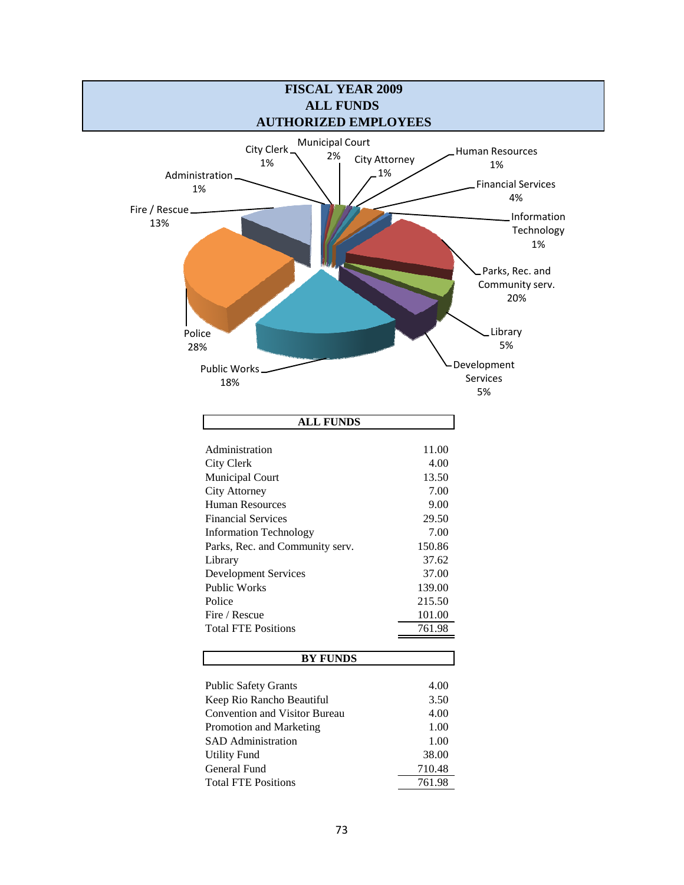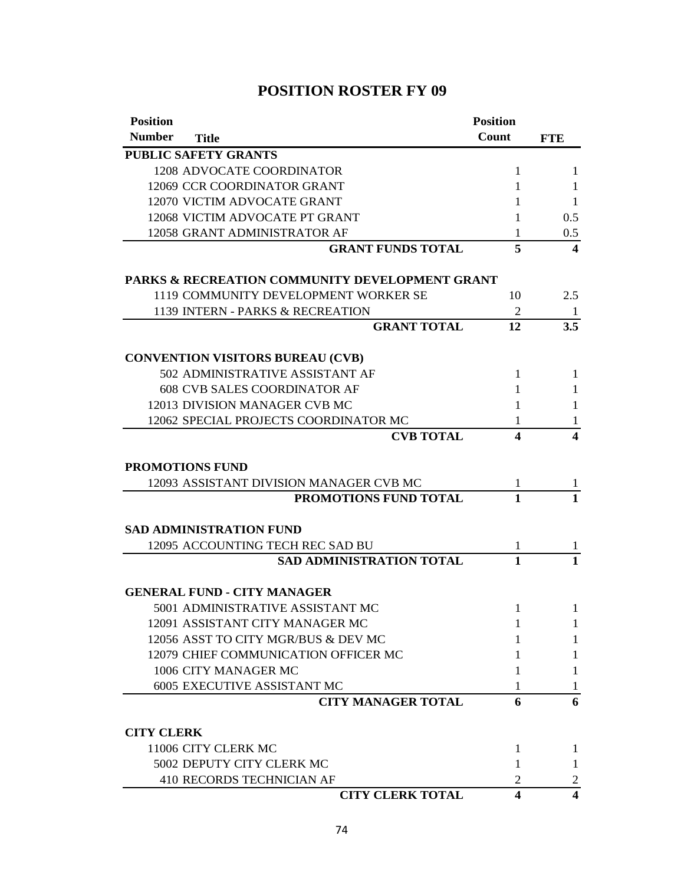| <b>Position</b>   |                                                | <b>Position</b>         |                  |
|-------------------|------------------------------------------------|-------------------------|------------------|
| <b>Number</b>     | <b>Title</b>                                   | Count                   | <b>FTE</b>       |
|                   | <b>PUBLIC SAFETY GRANTS</b>                    |                         |                  |
|                   | 1208 ADVOCATE COORDINATOR                      | 1                       | 1                |
|                   | 12069 CCR COORDINATOR GRANT                    | 1                       | 1                |
|                   | 12070 VICTIM ADVOCATE GRANT                    | 1                       | 1                |
|                   | 12068 VICTIM ADVOCATE PT GRANT                 | 1                       | 0.5              |
|                   | 12058 GRANT ADMINISTRATOR AF                   | 1                       | 0.5              |
|                   | <b>GRANT FUNDS TOTAL</b>                       | 5                       | $\boldsymbol{4}$ |
|                   | PARKS & RECREATION COMMUNITY DEVELOPMENT GRANT |                         |                  |
|                   | 1119 COMMUNITY DEVELOPMENT WORKER SE           | 10                      | 2.5              |
|                   | 1139 INTERN - PARKS & RECREATION               | 2                       | -1               |
|                   | <b>GRANT TOTAL</b>                             | 12                      | 3.5              |
|                   | <b>CONVENTION VISITORS BUREAU (CVB)</b>        |                         |                  |
|                   | 502 ADMINISTRATIVE ASSISTANT AF                | 1                       | 1                |
|                   | <b>608 CVB SALES COORDINATOR AF</b>            | 1                       | 1                |
|                   | 12013 DIVISION MANAGER CVB MC                  | 1                       | 1                |
|                   | 12062 SPECIAL PROJECTS COORDINATOR MC          | 1                       | 1                |
|                   | <b>CVB TOTAL</b>                               | $\overline{\mathbf{4}}$ | 4                |
|                   | <b>PROMOTIONS FUND</b>                         |                         |                  |
|                   | 12093 ASSISTANT DIVISION MANAGER CVB MC        | 1                       | 1                |
|                   | PROMOTIONS FUND TOTAL                          | $\mathbf{1}$            | $\mathbf{1}$     |
|                   | <b>SAD ADMINISTRATION FUND</b>                 |                         |                  |
|                   | 12095 ACCOUNTING TECH REC SAD BU               | 1                       | $\mathbf{I}$     |
|                   | <b>SAD ADMINISTRATION TOTAL</b>                | 1                       | 1                |
|                   | <b>GENERAL FUND - CITY MANAGER</b>             |                         |                  |
|                   | 5001 ADMINISTRATIVE ASSISTANT MC               | 1                       | $\mathbf{1}$     |
|                   | 12091 ASSISTANT CITY MANAGER MC                | 1                       | 1                |
|                   | 12056 ASST TO CITY MGR/BUS & DEV MC            | L                       | 1                |
|                   | 12079 CHIEF COMMUNICATION OFFICER MC           |                         | 1                |
|                   | 1006 CITY MANAGER MC                           | 1                       | 1                |
|                   | 6005 EXECUTIVE ASSISTANT MC                    | L                       | T                |
|                   | <b>CITY MANAGER TOTAL</b>                      | 6                       | 6                |
| <b>CITY CLERK</b> |                                                |                         |                  |
|                   | 11006 CITY CLERK MC                            | 1                       | 1                |
|                   | 5002 DEPUTY CITY CLERK MC                      | 1                       | 1                |
|                   | 410 RECORDS TECHNICIAN AF                      | 2                       | 2                |
|                   | <b>CITY CLERK TOTAL</b>                        | 4                       | 4                |

# **POSITION ROSTER FY 09**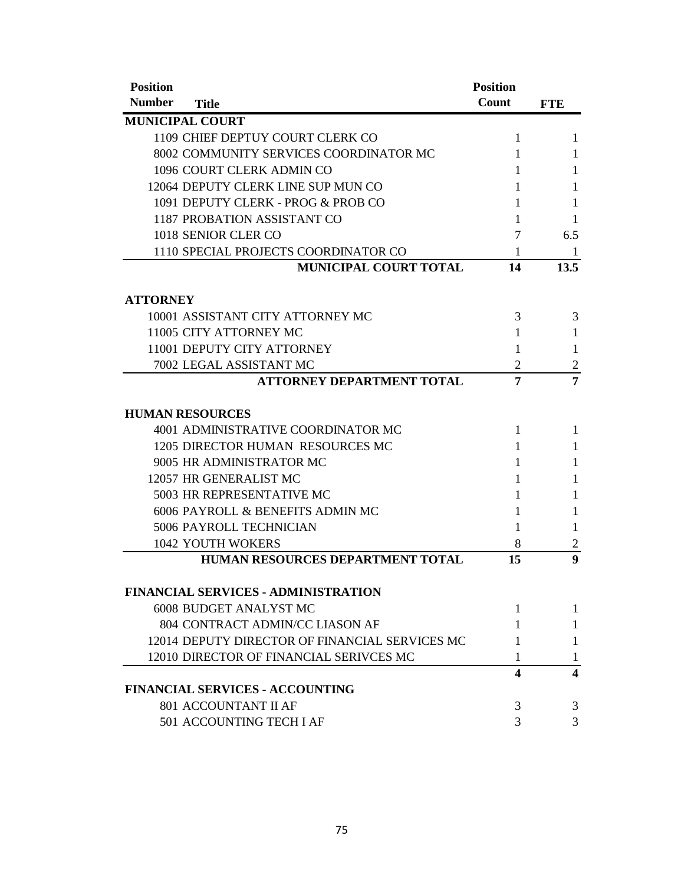| <b>Position</b> |                                                | <b>Position</b>  |                  |
|-----------------|------------------------------------------------|------------------|------------------|
| <b>Number</b>   | <b>Title</b>                                   | Count            | <b>FTE</b>       |
|                 | <b>MUNICIPAL COURT</b>                         |                  |                  |
|                 | 1109 CHIEF DEPTUY COURT CLERK CO               | 1                | 1                |
|                 | 8002 COMMUNITY SERVICES COORDINATOR MC         | 1                | 1                |
|                 | 1096 COURT CLERK ADMIN CO                      | 1                | 1                |
|                 | 12064 DEPUTY CLERK LINE SUP MUN CO             | 1                | 1                |
|                 | 1091 DEPUTY CLERK - PROG & PROB CO             | 1                | 1                |
|                 | 1187 PROBATION ASSISTANT CO                    | 1                | 1                |
|                 | 1018 SENIOR CLER CO                            | 7                | 6.5              |
|                 | 1110 SPECIAL PROJECTS COORDINATOR CO           | 1                | 1                |
|                 | <b>MUNICIPAL COURT TOTAL</b>                   | 14               | 13.5             |
|                 |                                                |                  |                  |
| <b>ATTORNEY</b> |                                                |                  |                  |
|                 | 10001 ASSISTANT CITY ATTORNEY MC               | 3                | 3                |
|                 | 11005 CITY ATTORNEY MC                         | 1                | 1                |
|                 | 11001 DEPUTY CITY ATTORNEY                     | 1                | 1                |
|                 | 7002 LEGAL ASSISTANT MC                        | $\overline{2}$   | $\overline{2}$   |
|                 | <b>ATTORNEY DEPARTMENT TOTAL</b>               | 7                | 7                |
|                 | <b>HUMAN RESOURCES</b>                         |                  |                  |
|                 | 4001 ADMINISTRATIVE COORDINATOR MC             | 1                | 1                |
|                 | 1205 DIRECTOR HUMAN RESOURCES MC               | 1                | 1                |
|                 | 9005 HR ADMINISTRATOR MC                       | 1                | 1                |
|                 | 12057 HR GENERALIST MC                         | 1                | 1                |
|                 | 5003 HR REPRESENTATIVE MC                      | 1                | 1                |
|                 | 6006 PAYROLL & BENEFITS ADMIN MC               | 1                | 1                |
|                 | 5006 PAYROLL TECHNICIAN                        | 1                | 1                |
|                 | <b>1042 YOUTH WOKERS</b>                       | 8                | 2                |
|                 | HUMAN RESOURCES DEPARTMENT TOTAL               | 15               | $\boldsymbol{9}$ |
|                 |                                                |                  |                  |
|                 | <b>FINANCIAL SERVICES - ADMINISTRATION</b>     |                  |                  |
|                 | 6008 BUDGET ANALYST MC                         | 1                | 1                |
|                 | 804 CONTRACT ADMIN/CC LIASON AF                | 1                | 1                |
|                 | 12014 DEPUTY DIRECTOR OF FINANCIAL SERVICES MC | 1                | 1                |
|                 | 12010 DIRECTOR OF FINANCIAL SERIVCES MC        | 1                | 1                |
|                 | <b>FINANCIAL SERVICES - ACCOUNTING</b>         | $\boldsymbol{4}$ | 4                |
|                 | 801 ACCOUNTANT II AF                           | 3                | 3                |
|                 | 501 ACCOUNTING TECH I AF                       | 3                | 3                |
|                 |                                                |                  |                  |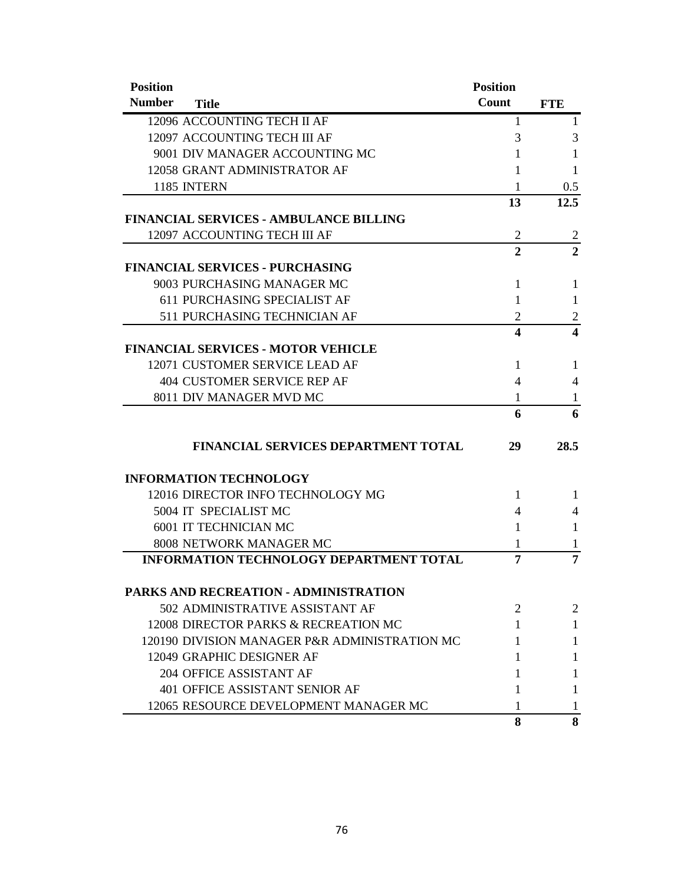| <b>Position</b>                           |                                                | <b>Position</b> |                |
|-------------------------------------------|------------------------------------------------|-----------------|----------------|
| <b>Number</b><br><b>Title</b>             |                                                | <b>Count</b>    | <b>FTE</b>     |
| 12096 ACCOUNTING TECH II AF               |                                                | 1               | 1              |
| 12097 ACCOUNTING TECH III AF              |                                                | 3               | 3              |
|                                           | 9001 DIV MANAGER ACCOUNTING MC                 | 1               | 1              |
| 12058 GRANT ADMINISTRATOR AF              |                                                | T               | 1              |
| 1185 INTERN                               |                                                | 1               | 0.5            |
|                                           |                                                | 13              | 12.5           |
|                                           | FINANCIAL SERVICES - AMBULANCE BILLING         |                 |                |
| 12097 ACCOUNTING TECH III AF              |                                                | $\overline{2}$  | $\overline{c}$ |
|                                           |                                                | $\mathbf{2}$    | $\overline{2}$ |
| <b>FINANCIAL SERVICES - PURCHASING</b>    |                                                |                 |                |
| 9003 PURCHASING MANAGER MC                |                                                | 1               | 1              |
| 611 PURCHASING SPECIALIST AF              |                                                | 1               | 1              |
|                                           | 511 PURCHASING TECHNICIAN AF                   | 2               | $\overline{c}$ |
|                                           |                                                | 4               | 4              |
| <b>FINANCIAL SERVICES - MOTOR VEHICLE</b> |                                                |                 |                |
| 12071 CUSTOMER SERVICE LEAD AF            |                                                | 1               | 1              |
| 404 CUSTOMER SERVICE REP AF               |                                                | 4               | 4              |
| 8011 DIV MANAGER MVD MC                   |                                                | 1               | 1              |
|                                           |                                                | 6               | 6              |
|                                           | <b>FINANCIAL SERVICES DEPARTMENT TOTAL</b>     | 29              | 28.5           |
| <b>INFORMATION TECHNOLOGY</b>             |                                                |                 |                |
|                                           | 12016 DIRECTOR INFO TECHNOLOGY MG              | 1               | $\mathbf{1}$   |
| 5004 IT SPECIALIST MC                     |                                                | 4               | 4              |
| <b>6001 IT TECHNICIAN MC</b>              |                                                | 1               | 1              |
| 8008 NETWORK MANAGER MC                   |                                                | 1               | 1              |
|                                           | <b>INFORMATION TECHNOLOGY DEPARTMENT TOTAL</b> | 7               | 7              |
|                                           | PARKS AND RECREATION - ADMINISTRATION          |                 |                |
|                                           | 502 ADMINISTRATIVE ASSISTANT AF                | 2               | $\overline{2}$ |
|                                           | 12008 DIRECTOR PARKS & RECREATION MC           | 1               | 1              |
|                                           | 120190 DIVISION MANAGER P&R ADMINISTRATION MC  | 1               | 1              |
| 12049 GRAPHIC DESIGNER AF                 |                                                | 1               | 1              |
| 204 OFFICE ASSISTANT AF                   |                                                | T               | 1              |
|                                           | 401 OFFICE ASSISTANT SENIOR AF                 | 1               | 1              |
|                                           | 12065 RESOURCE DEVELOPMENT MANAGER MC          | 1               |                |
|                                           |                                                | 8               | 8              |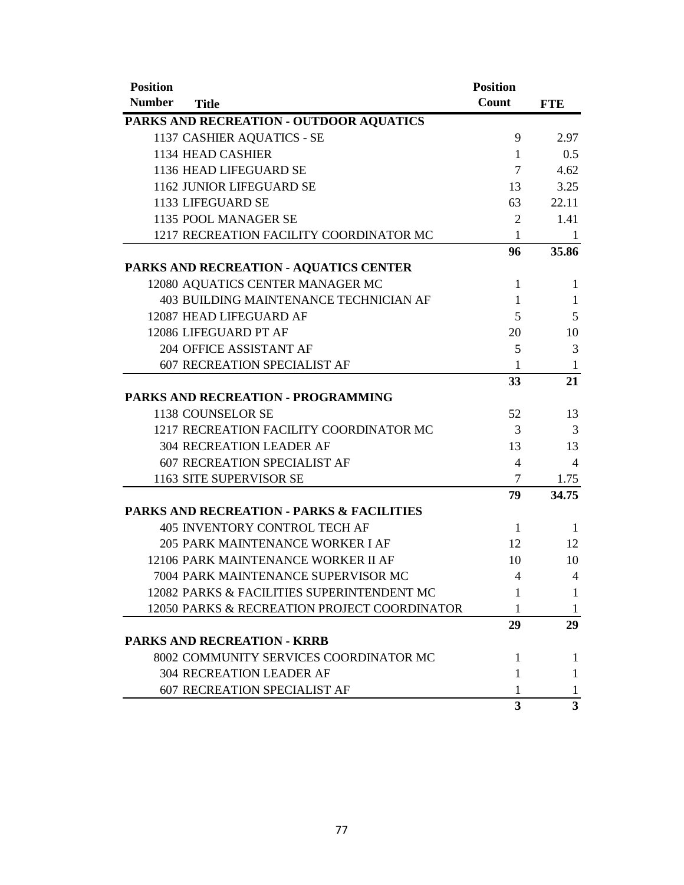| <b>Position</b><br><b>Number</b> |                                                      | <b>Position</b><br>Count |                         |
|----------------------------------|------------------------------------------------------|--------------------------|-------------------------|
|                                  | <b>Title</b>                                         |                          | <b>FTE</b>              |
|                                  | PARKS AND RECREATION - OUTDOOR AQUATICS              | 9                        |                         |
|                                  | 1137 CASHIER AQUATICS - SE<br>1134 HEAD CASHIER      | $\mathbf{1}$             | 2.97<br>0.5             |
|                                  | 1136 HEAD LIFEGUARD SE                               | $\overline{7}$           | 4.62                    |
|                                  | 1162 JUNIOR LIFEGUARD SE                             | 13                       | 3.25                    |
|                                  | 1133 LIFEGUARD SE                                    | 63                       | 22.11                   |
|                                  | 1135 POOL MANAGER SE                                 | $\overline{2}$           | 1.41                    |
|                                  | 1217 RECREATION FACILITY COORDINATOR MC              | $\mathbf{1}$             | -1                      |
|                                  |                                                      | 96                       | 35.86                   |
|                                  | <b>PARKS AND RECREATION - AQUATICS CENTER</b>        |                          |                         |
|                                  | 12080 AQUATICS CENTER MANAGER MC                     | 1                        | 1                       |
|                                  | 403 BUILDING MAINTENANCE TECHNICIAN AF               | 1                        | $\mathbf{1}$            |
|                                  | 12087 HEAD LIFEGUARD AF                              | 5                        | 5                       |
|                                  | 12086 LIFEGUARD PT AF                                | 20                       | 10                      |
|                                  | 204 OFFICE ASSISTANT AF                              | 5                        | 3                       |
|                                  | <b>607 RECREATION SPECIALIST AF</b>                  | 1                        | $\mathbf{1}$            |
|                                  |                                                      | 33                       | 21                      |
|                                  | PARKS AND RECREATION - PROGRAMMING                   |                          |                         |
|                                  | 1138 COUNSELOR SE                                    | 52                       | 13                      |
|                                  | 1217 RECREATION FACILITY COORDINATOR MC              | 3                        | 3                       |
|                                  | <b>304 RECREATION LEADER AF</b>                      | 13                       | 13                      |
|                                  | <b>607 RECREATION SPECIALIST AF</b>                  | 4                        | 4                       |
|                                  | 1163 SITE SUPERVISOR SE                              | 7                        | 1.75                    |
|                                  |                                                      | 79                       | 34.75                   |
|                                  | <b>PARKS AND RECREATION - PARKS &amp; FACILITIES</b> |                          |                         |
|                                  | <b>405 INVENTORY CONTROL TECH AF</b>                 | $\mathbf{1}$             | -1                      |
|                                  | 205 PARK MAINTENANCE WORKER I AF                     | 12                       | 12                      |
|                                  | 12106 PARK MAINTENANCE WORKER II AF                  | 10                       | 10                      |
|                                  | 7004 PARK MAINTENANCE SUPERVISOR MC                  | 4                        | $\overline{4}$          |
|                                  | 12082 PARKS & FACILITIES SUPERINTENDENT MC           | 1                        | 1                       |
|                                  | 12050 PARKS & RECREATION PROJECT COORDINATOR         | 1                        | 1                       |
|                                  |                                                      | 29                       | 29                      |
|                                  | <b>PARKS AND RECREATION - KRRB</b>                   |                          |                         |
|                                  | 8002 COMMUNITY SERVICES COORDINATOR MC               | 1                        | 1                       |
|                                  | <b>304 RECREATION LEADER AF</b>                      | 1                        | 1                       |
|                                  | <b>607 RECREATION SPECIALIST AF</b>                  | 1                        | 1                       |
|                                  |                                                      | 3                        | $\overline{\mathbf{3}}$ |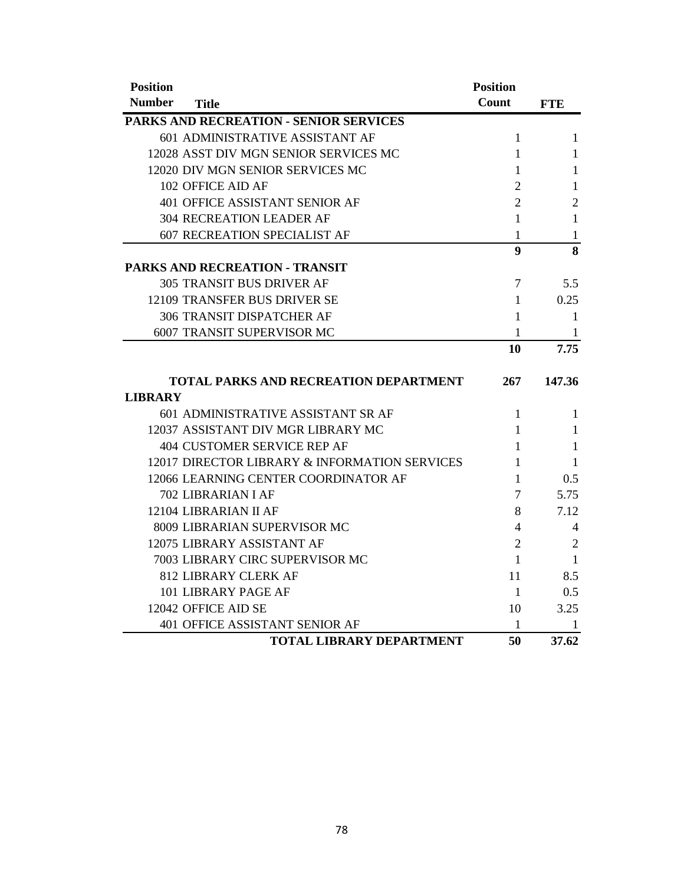| <b>Position</b>                               | <b>Position</b>  |                |
|-----------------------------------------------|------------------|----------------|
| <b>Number</b><br><b>Title</b>                 | Count            | <b>FTE</b>     |
| <b>PARKS AND RECREATION - SENIOR SERVICES</b> |                  |                |
| 601 ADMINISTRATIVE ASSISTANT AF               | 1                | 1              |
| 12028 ASST DIV MGN SENIOR SERVICES MC         | 1                | 1              |
| 12020 DIV MGN SENIOR SERVICES MC              | 1                | 1              |
| 102 OFFICE AID AF                             | $\overline{2}$   | 1              |
| 401 OFFICE ASSISTANT SENIOR AF                | $\overline{2}$   | $\overline{2}$ |
| <b>304 RECREATION LEADER AF</b>               | 1                | 1              |
| <b>607 RECREATION SPECIALIST AF</b>           | 1                | 1              |
|                                               | $\boldsymbol{9}$ | 8              |
| PARKS AND RECREATION - TRANSIT                |                  |                |
| <b>305 TRANSIT BUS DRIVER AF</b>              | $\overline{7}$   | 5.5            |
| 12109 TRANSFER BUS DRIVER SE                  | 1                | 0.25           |
| 306 TRANSIT DISPATCHER AF                     | 1                | 1              |
| 6007 TRANSIT SUPERVISOR MC                    | 1                | 1              |
|                                               | 10               | 7.75           |
| <b>TOTAL PARKS AND RECREATION DEPARTMENT</b>  | 267              | 147.36         |
| <b>LIBRARY</b>                                |                  |                |
| 601 ADMINISTRATIVE ASSISTANT SR AF            | $\mathbf{1}$     | 1              |
| 12037 ASSISTANT DIV MGR LIBRARY MC            | 1                | 1              |
| <b>404 CUSTOMER SERVICE REP AF</b>            | 1                | 1              |
| 12017 DIRECTOR LIBRARY & INFORMATION SERVICES | 1                | 1              |
| 12066 LEARNING CENTER COORDINATOR AF          | 1                | 0.5            |
| 702 LIBRARIAN I AF                            | 7                | 5.75           |
| 12104 LIBRARIAN II AF                         | 8                | 7.12           |
| 8009 LIBRARIAN SUPERVISOR MC                  | 4                | 4              |
| 12075 LIBRARY ASSISTANT AF                    | $\overline{2}$   | $\overline{2}$ |
| 7003 LIBRARY CIRC SUPERVISOR MC               | 1                | 1              |
| <b>812 LIBRARY CLERK AF</b>                   | 11               | 8.5            |
| 101 LIBRARY PAGE AF                           | 1                | 0.5            |
| 12042 OFFICE AID SE                           | 10               | 3.25           |
| 401 OFFICE ASSISTANT SENIOR AF                | 1                | 1              |
| <b>TOTAL LIBRARY DEPARTMENT</b>               | 50               | 37.62          |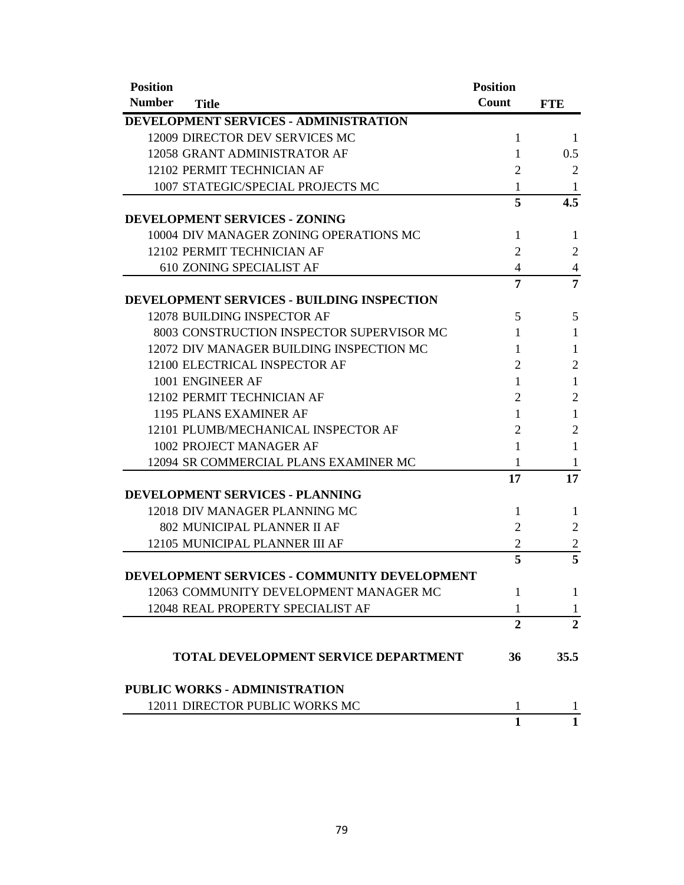| <b>Position</b> |                                                   | <b>Position</b> |                |
|-----------------|---------------------------------------------------|-----------------|----------------|
| <b>Number</b>   | <b>Title</b>                                      | Count           | <b>FTE</b>     |
|                 | DEVELOPMENT SERVICES - ADMINISTRATION             |                 |                |
|                 | 12009 DIRECTOR DEV SERVICES MC                    | 1               | -1             |
|                 | 12058 GRANT ADMINISTRATOR AF                      | 1               | 0.5            |
|                 | 12102 PERMIT TECHNICIAN AF                        | 2               | 2              |
|                 | 1007 STATEGIC/SPECIAL PROJECTS MC                 | 1               | 1              |
|                 |                                                   | 5               | 4.5            |
|                 | DEVELOPMENT SERVICES - ZONING                     |                 |                |
|                 | 10004 DIV MANAGER ZONING OPERATIONS MC            | $\mathbf{1}$    | $\mathbf{1}$   |
|                 | 12102 PERMIT TECHNICIAN AF                        | 2               | $\overline{2}$ |
|                 | 610 ZONING SPECIALIST AF                          | 4               | 4              |
|                 |                                                   | 7               | 7              |
|                 | <b>DEVELOPMENT SERVICES - BUILDING INSPECTION</b> |                 |                |
|                 | 12078 BUILDING INSPECTOR AF                       | 5               | 5              |
|                 | 8003 CONSTRUCTION INSPECTOR SUPERVISOR MC         | 1               | $\mathbf{1}$   |
|                 | 12072 DIV MANAGER BUILDING INSPECTION MC          | 1               | 1              |
|                 | 12100 ELECTRICAL INSPECTOR AF                     | 2               | $\overline{2}$ |
|                 | 1001 ENGINEER AF                                  | 1               | $\mathbf{1}$   |
|                 | 12102 PERMIT TECHNICIAN AF                        | 2               | $\overline{2}$ |
|                 | 1195 PLANS EXAMINER AF                            | 1               | $\mathbf{1}$   |
|                 | 12101 PLUMB/MECHANICAL INSPECTOR AF               | 2               | $\overline{2}$ |
|                 | 1002 PROJECT MANAGER AF                           | 1               | 1              |
|                 | 12094 SR COMMERCIAL PLANS EXAMINER MC             | 1               | 1              |
|                 |                                                   | 17              | 17             |
|                 | DEVELOPMENT SERVICES - PLANNING                   |                 |                |
|                 | 12018 DIV MANAGER PLANNING MC                     | 1               | 1              |
|                 | 802 MUNICIPAL PLANNER II AF                       | 2               | $\overline{2}$ |
|                 | 12105 MUNICIPAL PLANNER III AF                    | $\overline{2}$  | $\overline{c}$ |
|                 |                                                   | 5               | 5              |
|                 | DEVELOPMENT SERVICES - COMMUNITY DEVELOPMENT      |                 |                |
|                 | 12063 COMMUNITY DEVELOPMENT MANAGER MC            | 1               | 1              |
|                 | 12048 REAL PROPERTY SPECIALIST AF                 | 1               | 1              |
|                 |                                                   | $\overline{2}$  | $\overline{2}$ |
|                 | TOTAL DEVELOPMENT SERVICE DEPARTMENT              | 36              | 35.5           |
|                 | <b>PUBLIC WORKS - ADMINISTRATION</b>              |                 |                |
|                 | 12011 DIRECTOR PUBLIC WORKS MC                    | 1               | 1              |
|                 |                                                   | $\mathbf{1}$    | $\mathbf{1}$   |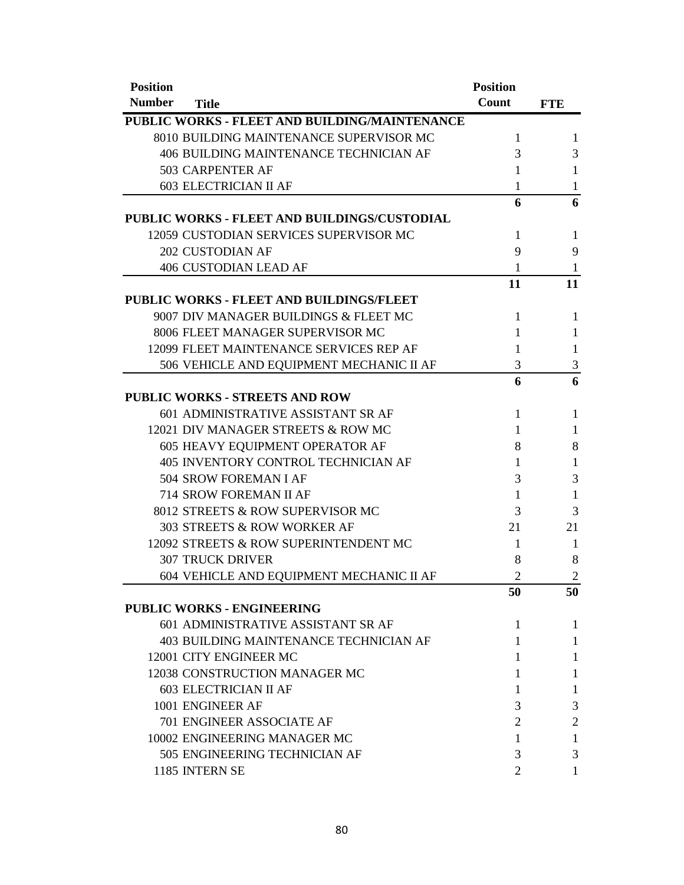| <b>Position</b> |                                               | <b>Position</b>       |                |
|-----------------|-----------------------------------------------|-----------------------|----------------|
| <b>Number</b>   | <b>Title</b>                                  | Count                 | <b>FTE</b>     |
|                 | PUBLIC WORKS - FLEET AND BUILDING/MAINTENANCE |                       |                |
|                 | 8010 BUILDING MAINTENANCE SUPERVISOR MC       | 1                     | 1              |
|                 | 406 BUILDING MAINTENANCE TECHNICIAN AF        | 3                     | 3              |
|                 | 503 CARPENTER AF                              | 1                     | 1              |
|                 | <b>603 ELECTRICIAN II AF</b>                  | 1                     | 1              |
|                 |                                               | 6                     | 6              |
|                 | PUBLIC WORKS - FLEET AND BUILDINGS/CUSTODIAL  |                       |                |
|                 | 12059 CUSTODIAN SERVICES SUPERVISOR MC        | 1                     | 1              |
|                 | <b>202 CUSTODIAN AF</b>                       | 9                     | 9              |
|                 | <b>406 CUSTODIAN LEAD AF</b>                  | 1                     | 1              |
|                 |                                               | 11                    | 11             |
|                 | PUBLIC WORKS - FLEET AND BUILDINGS/FLEET      |                       |                |
|                 | 9007 DIV MANAGER BUILDINGS & FLEET MC         | 1                     | 1              |
|                 | 8006 FLEET MANAGER SUPERVISOR MC              | 1                     | $\mathbf{1}$   |
|                 | 12099 FLEET MAINTENANCE SERVICES REP AF       | 1                     | $\mathbf{1}$   |
|                 | 506 VEHICLE AND EQUIPMENT MECHANIC II AF      | 3                     | 3              |
|                 |                                               | 6                     | 6              |
|                 | <b>PUBLIC WORKS - STREETS AND ROW</b>         |                       |                |
|                 | 601 ADMINISTRATIVE ASSISTANT SR AF            | 1                     | $\mathbf{1}$   |
|                 | 12021 DIV MANAGER STREETS & ROW MC            | 1                     | 1              |
|                 | 605 HEAVY EQUIPMENT OPERATOR AF               | 8                     | 8              |
|                 | 405 INVENTORY CONTROL TECHNICIAN AF           | 1                     | $\mathbf{1}$   |
|                 | 504 SROW FOREMAN I AF                         | 3                     | 3              |
|                 | 714 SROW FOREMAN II AF                        | 1                     | 1              |
|                 | 8012 STREETS & ROW SUPERVISOR MC              | 3                     | 3              |
|                 | 303 STREETS & ROW WORKER AF                   | 21                    | 21             |
|                 | 12092 STREETS & ROW SUPERINTENDENT MC         | 1                     | $\mathbf{1}$   |
|                 | <b>307 TRUCK DRIVER</b>                       | 8                     | 8              |
|                 | 604 VEHICLE AND EQUIPMENT MECHANIC II AF      | $\overline{2}$        | $\overline{2}$ |
|                 |                                               | 50                    | 50             |
|                 | <b>PUBLIC WORKS - ENGINEERING</b>             |                       |                |
|                 | 601 ADMINISTRATIVE ASSISTANT SR AF            | 1                     | 1              |
|                 | <b>403 BUILDING MAINTENANCE TECHNICIAN AF</b> | 1                     | 1              |
|                 | 12001 CITY ENGINEER MC                        | 1                     | 1              |
|                 | 12038 CONSTRUCTION MANAGER MC                 | 1                     | 1              |
|                 | <b>603 ELECTRICIAN II AF</b>                  | 1                     | 1              |
|                 | 1001 ENGINEER AF                              | 3                     | 3              |
|                 | 701 ENGINEER ASSOCIATE AF                     | 2                     | $\overline{c}$ |
|                 | 10002 ENGINEERING MANAGER MC                  | 1                     | 1              |
|                 | 505 ENGINEERING TECHNICIAN AF                 | 3                     | 3              |
|                 | 1185 INTERN SE                                | $\mathcal{D}_{\cdot}$ | 1              |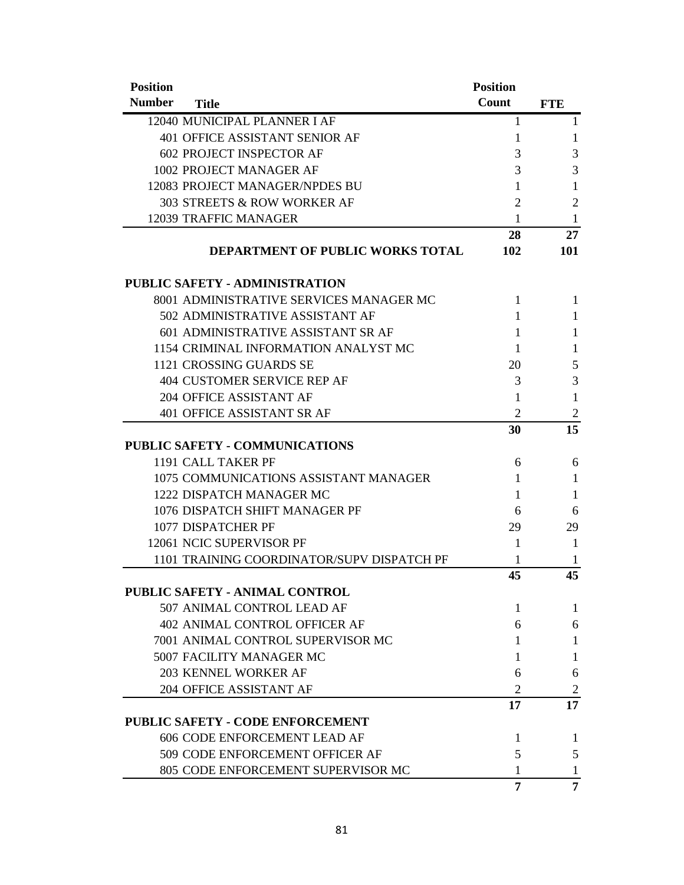| <b>Position</b> |                                            | <b>Position</b> |                |
|-----------------|--------------------------------------------|-----------------|----------------|
| <b>Number</b>   | <b>Title</b>                               | Count           | <b>FTE</b>     |
|                 | 12040 MUNICIPAL PLANNER I AF               | 1               | 1              |
|                 | 401 OFFICE ASSISTANT SENIOR AF             | 1               | 1              |
|                 | <b>602 PROJECT INSPECTOR AF</b>            | 3               | 3              |
|                 | 1002 PROJECT MANAGER AF                    | 3               | 3              |
|                 | 12083 PROJECT MANAGER/NPDES BU             | 1               | 1              |
|                 | 303 STREETS & ROW WORKER AF                | $\overline{2}$  | $\overline{2}$ |
|                 | 12039 TRAFFIC MANAGER                      | 1               | 1              |
|                 |                                            | 28              | 27             |
|                 | DEPARTMENT OF PUBLIC WORKS TOTAL           | 102             | <b>101</b>     |
|                 | <b>PUBLIC SAFETY - ADMINISTRATION</b>      |                 |                |
|                 | 8001 ADMINISTRATIVE SERVICES MANAGER MC    | 1               | 1              |
|                 | 502 ADMINISTRATIVE ASSISTANT AF            | 1               | 1              |
|                 | 601 ADMINISTRATIVE ASSISTANT SR AF         | 1               | 1              |
|                 | 1154 CRIMINAL INFORMATION ANALYST MC       | 1               | 1              |
|                 | 1121 CROSSING GUARDS SE                    | 20              | 5              |
|                 | <b>404 CUSTOMER SERVICE REP AF</b>         | 3               | 3              |
|                 | 204 OFFICE ASSISTANT AF                    | 1               | 1              |
|                 | 401 OFFICE ASSISTANT SR AF                 | $\overline{2}$  | $\overline{2}$ |
|                 |                                            | 30              | 15             |
|                 | <b>PUBLIC SAFETY - COMMUNICATIONS</b>      |                 |                |
|                 | 1191 CALL TAKER PF                         | 6               | 6              |
|                 | 1075 COMMUNICATIONS ASSISTANT MANAGER      | 1               | 1              |
|                 | 1222 DISPATCH MANAGER MC                   | 1               | 1              |
|                 | 1076 DISPATCH SHIFT MANAGER PF             | 6               | 6              |
|                 | 1077 DISPATCHER PF                         | 29              | 29             |
|                 | 12061 NCIC SUPERVISOR PF                   | 1               | 1              |
|                 | 1101 TRAINING COORDINATOR/SUPV DISPATCH PF | 1               | 1              |
|                 |                                            | 45              | 45             |
|                 | PUBLIC SAFETY - ANIMAL CONTROL             |                 |                |
|                 | 507 ANIMAL CONTROL LEAD AF                 | 1               | 1              |
|                 | <b>402 ANIMAL CONTROL OFFICER AF</b>       | 6               | 6              |
|                 | 7001 ANIMAL CONTROL SUPERVISOR MC          | 1               | 1              |
|                 | 5007 FACILITY MANAGER MC                   | 1               | 1              |
|                 | 203 KENNEL WORKER AF                       | 6               | 6              |
|                 | 204 OFFICE ASSISTANT AF                    | $\overline{2}$  | $\overline{2}$ |
|                 |                                            | 17              | 17             |
|                 | <b>PUBLIC SAFETY - CODE ENFORCEMENT</b>    |                 |                |
|                 | 606 CODE ENFORCEMENT LEAD AF               | 1               | 1              |
|                 | 509 CODE ENFORCEMENT OFFICER AF            | 5               | 5              |
|                 | 805 CODE ENFORCEMENT SUPERVISOR MC         | 1               | 1              |
|                 |                                            | 7               | 7              |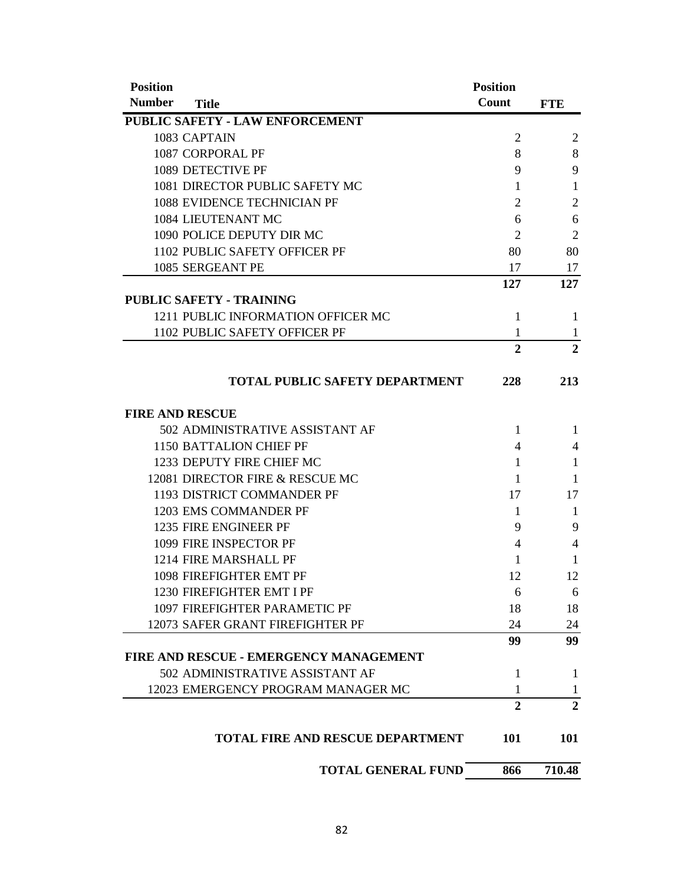| <b>Position</b>                               | <b>Position</b> |                |
|-----------------------------------------------|-----------------|----------------|
| <b>Number</b><br><b>Title</b>                 | Count           | <b>FTE</b>     |
| PUBLIC SAFETY - LAW ENFORCEMENT               |                 |                |
| 1083 CAPTAIN                                  | $\overline{2}$  | $\overline{c}$ |
| 1087 CORPORAL PF                              | 8               | 8              |
| 1089 DETECTIVE PF                             | 9               | 9              |
| 1081 DIRECTOR PUBLIC SAFETY MC                | 1               | 1              |
| 1088 EVIDENCE TECHNICIAN PF                   | $\overline{2}$  | $\overline{2}$ |
| 1084 LIEUTENANT MC                            | 6               | 6              |
| 1090 POLICE DEPUTY DIR MC                     | $\overline{2}$  | $\overline{2}$ |
| 1102 PUBLIC SAFETY OFFICER PF                 | 80              | 80             |
| 1085 SERGEANT PE                              | 17              | 17             |
|                                               | 127             | 127            |
| <b>PUBLIC SAFETY - TRAINING</b>               |                 |                |
| 1211 PUBLIC INFORMATION OFFICER MC            | $\mathbf{1}$    | 1              |
| 1102 PUBLIC SAFETY OFFICER PF                 | 1               | 1              |
|                                               | $\overline{2}$  | $\overline{2}$ |
|                                               |                 |                |
| <b>TOTAL PUBLIC SAFETY DEPARTMENT</b>         | 228             | 213            |
| <b>FIRE AND RESCUE</b>                        |                 |                |
| 502 ADMINISTRATIVE ASSISTANT AF               | 1               | 1              |
| <b>1150 BATTALION CHIEF PF</b>                | 4               | 4              |
| 1233 DEPUTY FIRE CHIEF MC                     | 1               | 1              |
| 12081 DIRECTOR FIRE & RESCUE MC               | 1               | 1              |
| 1193 DISTRICT COMMANDER PF                    | 17              | 17             |
| 1203 EMS COMMANDER PF                         | 1               | 1              |
| 1235 FIRE ENGINEER PF                         | 9               | 9              |
| 1099 FIRE INSPECTOR PF                        | 4               | $\overline{4}$ |
| 1214 FIRE MARSHALL PF                         | 1               | 1              |
| 1098 FIREFIGHTER EMT PF                       | 12              | 12             |
| 1230 FIREFIGHTER EMT I PF                     | 6               | 6              |
| 1097 FIREFIGHTER PARAMETIC PF                 | 18              | 18             |
| 12073 SAFER GRANT FIREFIGHTER PF              | 24              | 24             |
|                                               | 99              | 99             |
| <b>FIRE AND RESCUE - EMERGENCY MANAGEMENT</b> |                 |                |
| 502 ADMINISTRATIVE ASSISTANT AF               | 1               | 1              |
| 12023 EMERGENCY PROGRAM MANAGER MC            | 1               | $\mathbf{1}$   |
|                                               | $\overline{2}$  | $\overline{2}$ |
| <b>TOTAL FIRE AND RESCUE DEPARTMENT</b>       | 101             | 101            |
| <b>TOTAL GENERAL FUND</b>                     | 866             | 710.48         |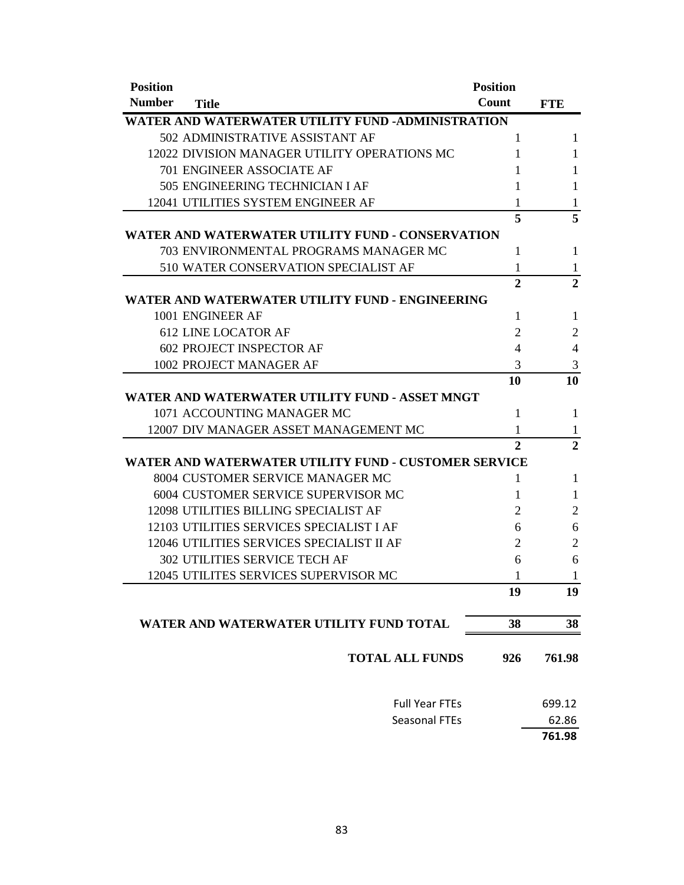| <b>Position</b> |                                                      | <b>Position</b> |                |
|-----------------|------------------------------------------------------|-----------------|----------------|
| <b>Number</b>   | <b>Title</b>                                         | Count           | <b>FTE</b>     |
|                 | WATER AND WATERWATER UTILITY FUND -ADMINISTRATION    |                 |                |
|                 | 502 ADMINISTRATIVE ASSISTANT AF                      | 1               | 1              |
|                 | 12022 DIVISION MANAGER UTILITY OPERATIONS MC         | 1               | 1              |
|                 | <b>701 ENGINEER ASSOCIATE AF</b>                     | 1               | 1              |
|                 | 505 ENGINEERING TECHNICIAN I AF                      | 1               | 1              |
|                 | 12041 UTILITIES SYSTEM ENGINEER AF                   | 1               | 1              |
|                 |                                                      | 5               | 5              |
|                 | WATER AND WATERWATER UTILITY FUND - CONSERVATION     |                 |                |
|                 | 703 ENVIRONMENTAL PROGRAMS MANAGER MC                | $\mathbf{1}$    | 1              |
|                 | 510 WATER CONSERVATION SPECIALIST AF                 | 1               | 1              |
|                 |                                                      | $\overline{2}$  | $\overline{2}$ |
|                 | WATER AND WATERWATER UTILITY FUND - ENGINEERING      |                 |                |
|                 | 1001 ENGINEER AF                                     | 1               | 1              |
|                 | <b>612 LINE LOCATOR AF</b>                           | 2               | $\overline{2}$ |
|                 | <b>602 PROJECT INSPECTOR AF</b>                      | 4               | $\overline{4}$ |
|                 | 1002 PROJECT MANAGER AF                              | 3               | 3              |
|                 |                                                      | 10              | 10             |
|                 | WATER AND WATERWATER UTILITY FUND - ASSET MNGT       |                 |                |
|                 | 1071 ACCOUNTING MANAGER MC                           | 1               | 1              |
|                 | 12007 DIV MANAGER ASSET MANAGEMENT MC                | 1               | $\mathbf{1}$   |
|                 |                                                      | $\overline{2}$  | $\overline{2}$ |
|                 | WATER AND WATERWATER UTILITY FUND - CUSTOMER SERVICE |                 |                |
|                 | 8004 CUSTOMER SERVICE MANAGER MC                     | 1               | 1              |
|                 | 6004 CUSTOMER SERVICE SUPERVISOR MC                  | 1               | 1              |
|                 | 12098 UTILITIES BILLING SPECIALIST AF                | $\overline{2}$  | $\overline{2}$ |
|                 | 12103 UTILITIES SERVICES SPECIALIST I AF             | 6               | 6              |
|                 | 12046 UTILITIES SERVICES SPECIALIST II AF            | 2               | $\overline{2}$ |
|                 | <b>302 UTILITIES SERVICE TECH AF</b>                 | 6               | 6              |
|                 | 12045 UTILITES SERVICES SUPERVISOR MC                | 1               | $\mathbf{1}$   |
|                 |                                                      | 19              | 19             |
|                 | WATER AND WATERWATER UTILITY FUND TOTAL              | 38              | 38             |
|                 | <b>TOTAL ALL FUNDS</b>                               | 926             | 761.98         |
|                 | <b>Full Year FTEs</b>                                |                 | 699.12         |
|                 | <b>Seasonal FTEs</b>                                 |                 | 62.86          |
|                 |                                                      |                 | 761.98         |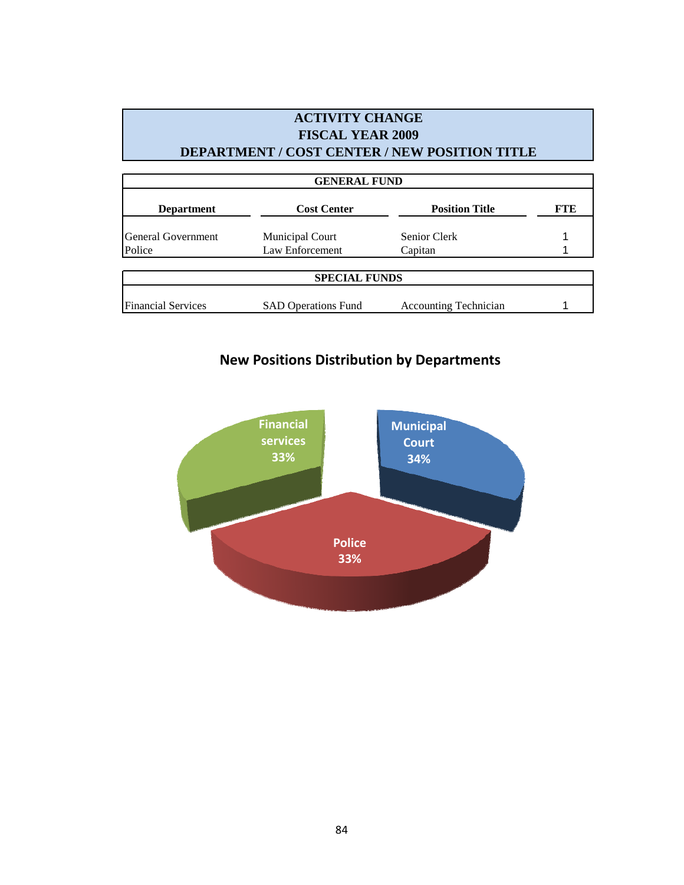## **ACTIVITY CHANGE FISCAL YEAR 2009 DEPARTMENT / COST CENTER / NEW POSITION TITLE**

| <b>GENERAL FUND</b>         |                            |                              |            |  |  |  |
|-----------------------------|----------------------------|------------------------------|------------|--|--|--|
| <b>Department</b>           | <b>Cost Center</b>         | <b>Position Title</b>        | <b>FTE</b> |  |  |  |
| <b>I</b> General Government | <b>Municipal Court</b>     | Senior Clerk                 |            |  |  |  |
| Police                      | Law Enforcement            | Capitan                      |            |  |  |  |
|                             | <b>SPECIAL FUNDS</b>       |                              |            |  |  |  |
| <b>Financial Services</b>   | <b>SAD Operations Fund</b> | <b>Accounting Technician</b> |            |  |  |  |

# **New Positions Distribution by Departments**

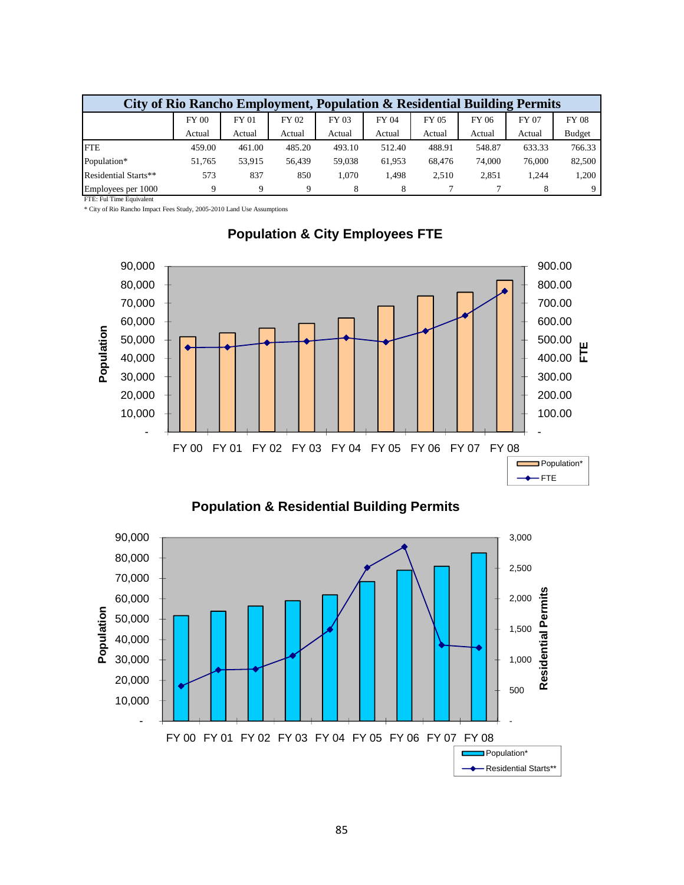| City of Rio Rancho Employment, Population & Residential Building Permits |              |              |        |        |        |        |        |        |               |
|--------------------------------------------------------------------------|--------------|--------------|--------|--------|--------|--------|--------|--------|---------------|
|                                                                          | <b>FY 00</b> | <b>FY 01</b> | FY 02  | FY 03  | FY 04  | FY 05  | FY 06  | FY 07  | <b>FY 08</b>  |
|                                                                          | Actual       | Actual       | Actual | Actual | Actual | Actual | Actual | Actual | <b>Budget</b> |
| <b>IFTE</b>                                                              | 459.00       | 461.00       | 485.20 | 493.10 | 512.40 | 488.91 | 548.87 | 633.33 | 766.33        |
| Population*                                                              | 51.765       | 53.915       | 56.439 | 59,038 | 61,953 | 68.476 | 74,000 | 76,000 | 82,500        |
| Residential Starts**                                                     | 573          | 837          | 850    | 1.070  | 1.498  | 2,510  | 2,851  | 1.244  | 1,200         |
| Employees per 1000                                                       |              | $\Omega$     | a      |        |        |        |        |        |               |

FTE: Ful Time Equivalent

\* City of Rio Rancho Impact Fees Study, 2005-2010 Land Use Assumptions



### **Population & City Employees FTE**



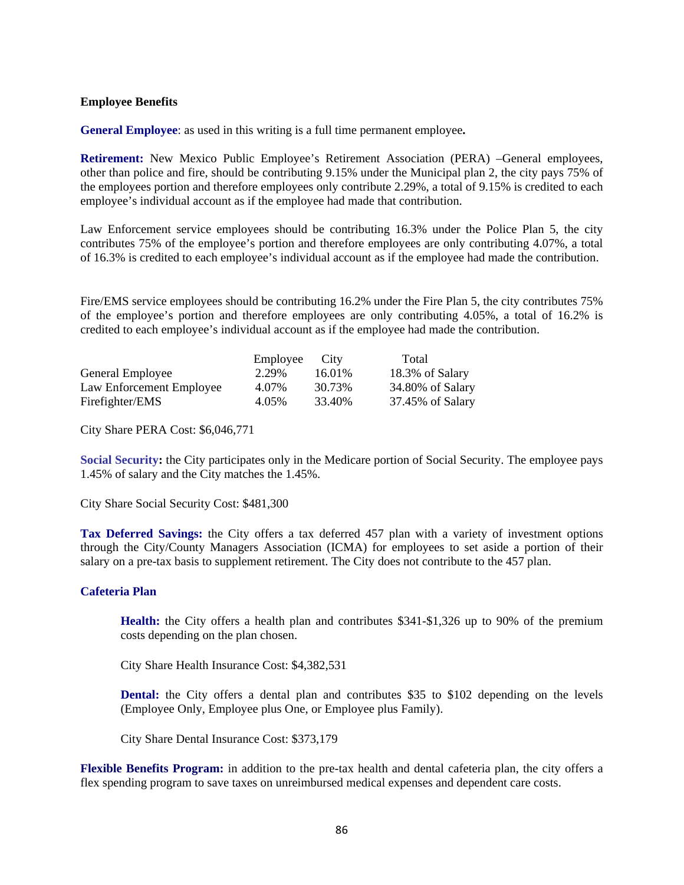#### **Employee Benefits**

**General Employee**: as used in this writing is a full time permanent employee**.** 

**Retirement:** New Mexico Public Employee's Retirement Association (PERA) –General employees, other than police and fire, should be contributing 9.15% under the Municipal plan 2, the city pays 75% of the employees portion and therefore employees only contribute 2.29%, a total of 9.15% is credited to each employee's individual account as if the employee had made that contribution.

Law Enforcement service employees should be contributing 16.3% under the Police Plan 5, the city contributes 75% of the employee's portion and therefore employees are only contributing 4.07%, a total of 16.3% is credited to each employee's individual account as if the employee had made the contribution.

Fire/EMS service employees should be contributing 16.2% under the Fire Plan 5, the city contributes 75% of the employee's portion and therefore employees are only contributing 4.05%, a total of 16.2% is credited to each employee's individual account as if the employee had made the contribution.

|                          | Employee | City   | Total            |
|--------------------------|----------|--------|------------------|
| General Employee         | 2.29%    | 16.01% | 18.3% of Salary  |
| Law Enforcement Employee | 4.07%    | 30.73% | 34.80% of Salary |
| Firefighter/EMS          | 4.05%    | 33.40% | 37.45% of Salary |

City Share PERA Cost: \$6,046,771

**Social Security:** the City participates only in the Medicare portion of Social Security. The employee pays 1.45% of salary and the City matches the 1.45%.

City Share Social Security Cost: \$481,300

**Tax Deferred Savings:** the City offers a tax deferred 457 plan with a variety of investment options through the City/County Managers Association (ICMA) for employees to set aside a portion of their salary on a pre-tax basis to supplement retirement. The City does not contribute to the 457 plan.

#### **Cafeteria Plan**

**Health:** the City offers a health plan and contributes \$341-\$1,326 up to 90% of the premium costs depending on the plan chosen.

City Share Health Insurance Cost: \$4,382,531

 **Dental:** the City offers a dental plan and contributes \$35 to \$102 depending on the levels (Employee Only, Employee plus One, or Employee plus Family).

City Share Dental Insurance Cost: \$373,179

**Flexible Benefits Program:** in addition to the pre-tax health and dental cafeteria plan, the city offers a flex spending program to save taxes on unreimbursed medical expenses and dependent care costs.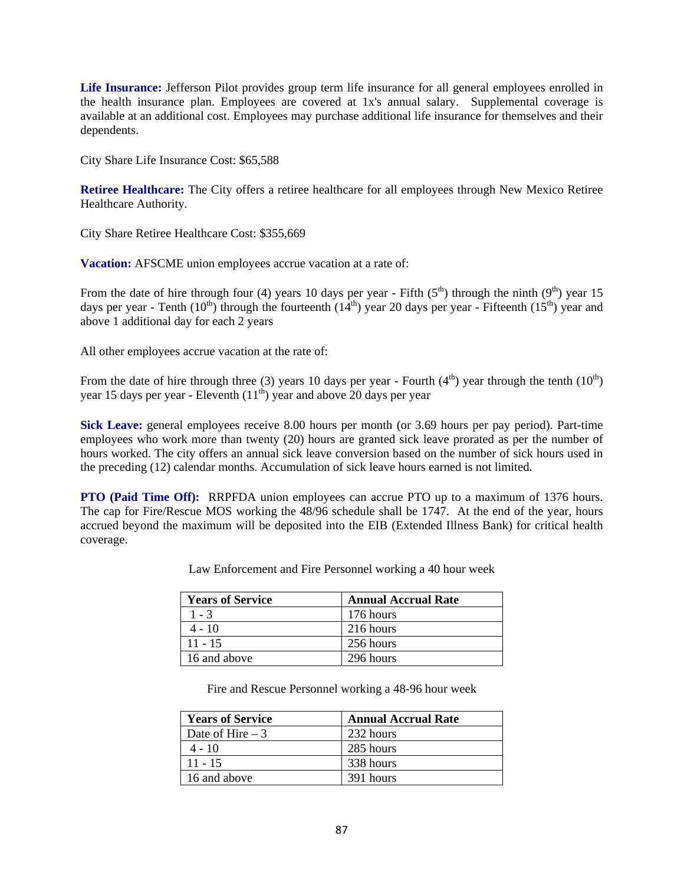**Life Insurance:** Jefferson Pilot provides group term life insurance for all general employees enrolled in the health insurance plan. Employees are covered at 1x's annual salary. Supplemental coverage is available at an additional cost. Employees may purchase additional life insurance for themselves and their dependents.

City Share Life Insurance Cost: \$65,588

**Retiree Healthcare:** The City offers a retiree healthcare for all employees through New Mexico Retiree Healthcare Authority.

City Share Retiree Healthcare Cost: \$355,669

**Vacation:** AFSCME union employees accrue vacation at a rate of:

From the date of hire through four (4) years 10 days per year - Fifth  $(5<sup>th</sup>)$  through the ninth  $(9<sup>th</sup>)$  year 15 days per year - Tenth (10<sup>th</sup>) through the fourteenth (14<sup>th</sup>) year 20 days per year - Fifteenth (15<sup>th</sup>) year and above 1 additional day for each 2 years

All other employees accrue vacation at the rate of:

From the date of hire through three (3) years 10 days per year - Fourth (4<sup>th</sup>) year through the tenth (10<sup>th</sup>) year 15 days per year - Eleventh  $(11<sup>th</sup>)$  year and above 20 days per year

**Sick Leave:** general employees receive 8.00 hours per month (or 3.69 hours per pay period). Part-time employees who work more than twenty (20) hours are granted sick leave prorated as per the number of hours worked. The city offers an annual sick leave conversion based on the number of sick hours used in the preceding (12) calendar months. Accumulation of sick leave hours earned is not limited.

**PTO (Paid Time Off):** RRPFDA union employees can accrue PTO up to a maximum of 1376 hours. The cap for Fire/Rescue MOS working the 48/96 schedule shall be 1747. At the end of the year, hours accrued beyond the maximum will be deposited into the EIB (Extended Illness Bank) for critical health coverage.

| Law Enforcement and Fire Personnel working a 40 hour week |  |
|-----------------------------------------------------------|--|
|-----------------------------------------------------------|--|

| <b>Years of Service</b> | <b>Annual Accrual Rate</b> |
|-------------------------|----------------------------|
| $1 - 3$                 | 176 hours                  |
| $4 - 10$                | 216 hours                  |
| $11 - 15$               | 256 hours                  |
| 16 and above            | 296 hours                  |

Fire and Rescue Personnel working a 48-96 hour week

| <b>Years of Service</b> | <b>Annual Accrual Rate</b> |
|-------------------------|----------------------------|
| Date of Hire $-3$       | 232 hours                  |
| $4 - 10$                | 285 hours                  |
| $11 - 15$               | 338 hours                  |
| 16 and above            | 391 hours                  |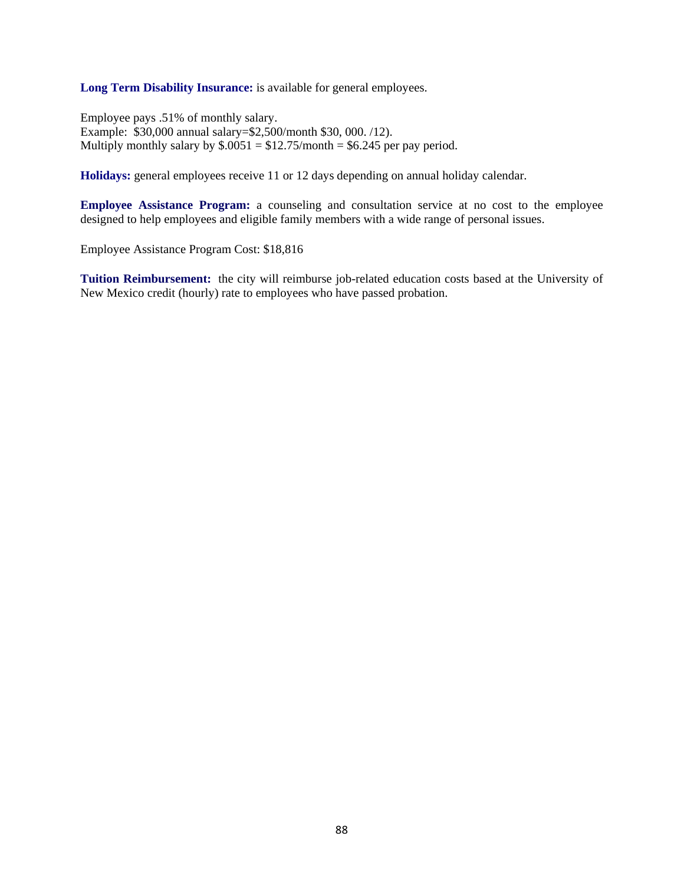**Long Term Disability Insurance:** is available for general employees.

Employee pays .51% of monthly salary. Example: \$30,000 annual salary=\$2,500/month \$30, 000. /12). Multiply monthly salary by  $\$.0051 = \$12.75/$  month = \$6.245 per pay period.

**Holidays:** general employees receive 11 or 12 days depending on annual holiday calendar.

**Employee Assistance Program:** a counseling and consultation service at no cost to the employee designed to help employees and eligible family members with a wide range of personal issues.

Employee Assistance Program Cost: \$18,816

**Tuition Reimbursement:** the city will reimburse job-related education costs based at the University of New Mexico credit (hourly) rate to employees who have passed probation.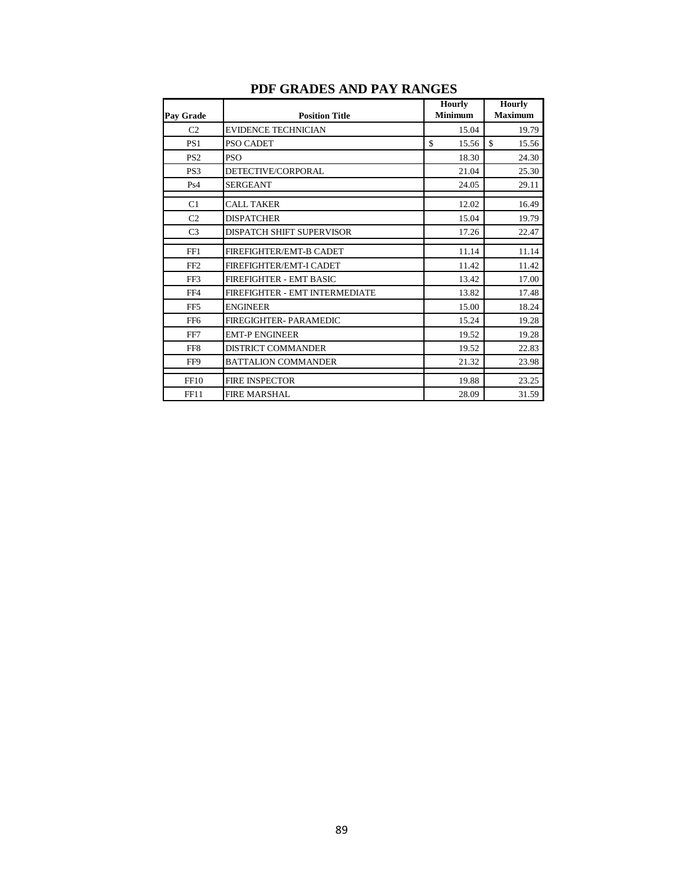|                 |                                | <b>Hourly</b>  | <b>Hourly</b>  |
|-----------------|--------------------------------|----------------|----------------|
| Pay Grade       | <b>Position Title</b>          | <b>Minimum</b> | <b>Maximum</b> |
| C <sub>2</sub>  | <b>EVIDENCE TECHNICIAN</b>     | 15.04          | 19.79          |
| PS <sub>1</sub> | PSO CADET                      | \$<br>15.56    | \$<br>15.56    |
| PS <sub>2</sub> | <b>PSO</b>                     | 18.30          | 24.30          |
| PS <sub>3</sub> | DETECTIVE/CORPORAL             | 21.04          | 25.30          |
| Ps4             | <b>SERGEANT</b>                | 24.05          | 29.11          |
| C1              | <b>CALL TAKER</b>              | 12.02          | 16.49          |
| C <sub>2</sub>  | <b>DISPATCHER</b>              | 15.04          | 19.79          |
| C <sub>3</sub>  | DISPATCH SHIFT SUPERVISOR      | 17.26          | 22.47          |
| FF1             | FIREFIGHTER/EMT-B CADET        | 11.14          | 11.14          |
| FF <sub>2</sub> | FIREFIGHTER/EMT-I CADET        | 11.42          | 11.42          |
| FF3             | <b>FIREFIGHTER - EMT BASIC</b> | 13.42          | 17.00          |
| FF4             | FIREFIGHTER - EMT INTERMEDIATE | 13.82          | 17.48          |
| FF <sub>5</sub> | <b>ENGINEER</b>                | 15.00          | 18.24          |
| FF <sub>6</sub> | FIREGIGHTER- PARAMEDIC         | 15.24          | 19.28          |
| FF7             | <b>EMT-P ENGINEER</b>          | 19.52          | 19.28          |
| FF <sub>8</sub> | <b>DISTRICT COMMANDER</b>      | 19.52          | 22.83          |
| FF9             | <b>BATTALION COMMANDER</b>     | 21.32          | 23.98          |
| FF10            | <b>FIRE INSPECTOR</b>          | 19.88          | 23.25          |
| <b>FF11</b>     | <b>FIRE MARSHAL</b>            | 28.09          | 31.59          |

## **PDF GRADES AND PAY RANGES**